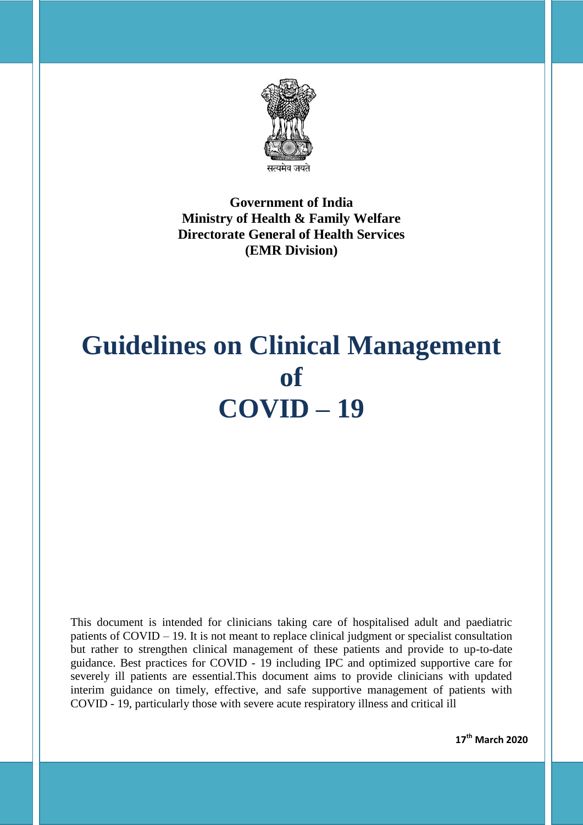

**Government of India Ministry of Health & Family Welfare Directorate General of Health Services (EMR Division)**

# **Guidelines on Clinical Management of COVID – 19**

This document is intended for clinicians taking care of hospitalised adult and paediatric patients of COVID – 19. It is not meant to replace clinical judgment or specialist consultation but rather to strengthen clinical management of these patients and provide to up-to-date guidance. Best practices for COVID - 19 including IPC and optimized supportive care for severely ill patients are essential.This document aims to provide clinicians with updated interim guidance on timely, effective, and safe supportive management of patients with COVID - 19, particularly those with severe acute respiratory illness and critical ill

**17th March 2020**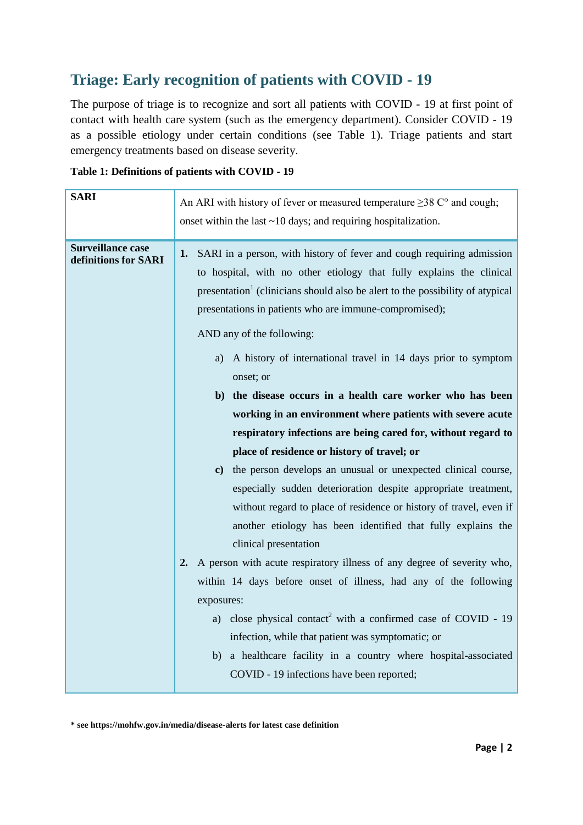## **Triage: Early recognition of patients with COVID - 19**

The purpose of triage is to recognize and sort all patients with COVID - 19 at first point of contact with health care system (such as the emergency department). Consider COVID - 19 as a possible etiology under certain conditions (see Table 1). Triage patients and start emergency treatments based on disease severity.

| <b>SARI</b>                                      | An ARI with history of fever or measured temperature $\geq$ 38 C° and cough;<br>onset within the last ~10 days; and requiring hospitalization.                                                                                                                                                                                                                                                                                                                                                                                                                                                                                                                                                                                                                                                                                                                                                                                                                         |
|--------------------------------------------------|------------------------------------------------------------------------------------------------------------------------------------------------------------------------------------------------------------------------------------------------------------------------------------------------------------------------------------------------------------------------------------------------------------------------------------------------------------------------------------------------------------------------------------------------------------------------------------------------------------------------------------------------------------------------------------------------------------------------------------------------------------------------------------------------------------------------------------------------------------------------------------------------------------------------------------------------------------------------|
| <b>Surveillance case</b><br>definitions for SARI | 1. SARI in a person, with history of fever and cough requiring admission<br>to hospital, with no other etiology that fully explains the clinical<br>presentation <sup>1</sup> (clinicians should also be alert to the possibility of atypical<br>presentations in patients who are immune-compromised);<br>AND any of the following:<br>a) A history of international travel in 14 days prior to symptom<br>onset; or<br>b) the disease occurs in a health care worker who has been<br>working in an environment where patients with severe acute<br>respiratory infections are being cared for, without regard to<br>place of residence or history of travel; or<br>c) the person develops an unusual or unexpected clinical course,<br>especially sudden deterioration despite appropriate treatment,<br>without regard to place of residence or history of travel, even if<br>another etiology has been identified that fully explains the<br>clinical presentation |
|                                                  | A person with acute respiratory illness of any degree of severity who,<br>2.<br>within 14 days before onset of illness, had any of the following<br>exposures:<br>a) close physical contact <sup>2</sup> with a confirmed case of COVID - 19<br>infection, while that patient was symptomatic; or<br>a healthcare facility in a country where hospital-associated<br>b)<br>COVID - 19 infections have been reported;                                                                                                                                                                                                                                                                                                                                                                                                                                                                                                                                                   |

| Table 1: Definitions of patients with COVID - 19 |  |  |
|--------------------------------------------------|--|--|
|--------------------------------------------------|--|--|

**\* see https://mohfw.gov.in/media/disease-alerts for latest case definition**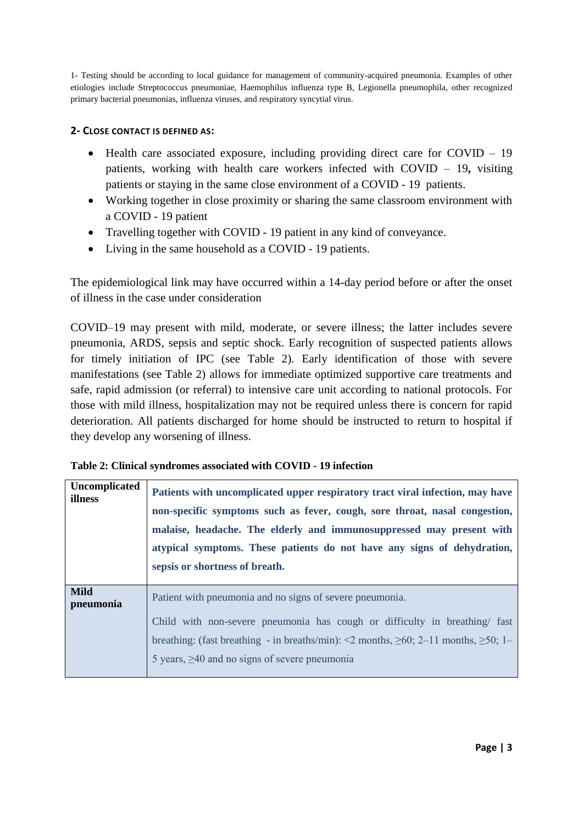1- Testing should be according to local guidance for management of community-acquired pneumonia. Examples of other etiologies include Streptococcus pneumoniae, Haemophilus influenza type B, Legionella pneumophila, other recognized primary bacterial pneumonias, influenza viruses, and respiratory syncytial virus.

#### **2- CLOSE CONTACT IS DEFINED AS:**

- Health care associated exposure, including providing direct care for COVID 19 patients, working with health care workers infected with COVID – 19**,** visiting patients or staying in the same close environment of a COVID - 19 patients.
- Working together in close proximity or sharing the same classroom environment with a COVID - 19 patient
- Travelling together with COVID 19 patient in any kind of conveyance.
- Living in the same household as a COVID 19 patients.

The epidemiological link may have occurred within a 14-day period before or after the onset of illness in the case under consideration

COVID–19 may present with mild, moderate, or severe illness; the latter includes severe pneumonia, ARDS, sepsis and septic shock. Early recognition of suspected patients allows for timely initiation of IPC (see Table 2). Early identification of those with severe manifestations (see Table 2) allows for immediate optimized supportive care treatments and safe, rapid admission (or referral) to intensive care unit according to national protocols. For those with mild illness, hospitalization may not be required unless there is concern for rapid deterioration. All patients discharged for home should be instructed to return to hospital if they develop any worsening of illness.

| Table 2: Clinical syndromes associated with COVID - 19 infection |  |  |
|------------------------------------------------------------------|--|--|
|------------------------------------------------------------------|--|--|

| <b>Uncomplicated</b><br>illness | Patients with uncomplicated upper respiratory tract viral infection, may have<br>non-specific symptoms such as fever, cough, sore throat, nasal congestion,<br>malaise, headache. The elderly and immunosuppressed may present with<br>atypical symptoms. These patients do not have any signs of dehydration,<br>sepsis or shortness of breath. |
|---------------------------------|--------------------------------------------------------------------------------------------------------------------------------------------------------------------------------------------------------------------------------------------------------------------------------------------------------------------------------------------------|
| <b>Mild</b><br>pneumonia        | Patient with pneumonia and no signs of severe pneumonia.<br>Child with non-severe pneumonia has cough or difficulty in breathing/ fast<br>breathing: (fast breathing - in breaths/min): <2 months, $\geq 60$ ; 2–11 months, $\geq 50$ ; 1–                                                                                                       |
|                                 | 5 years, $\geq 40$ and no signs of severe pneumonia                                                                                                                                                                                                                                                                                              |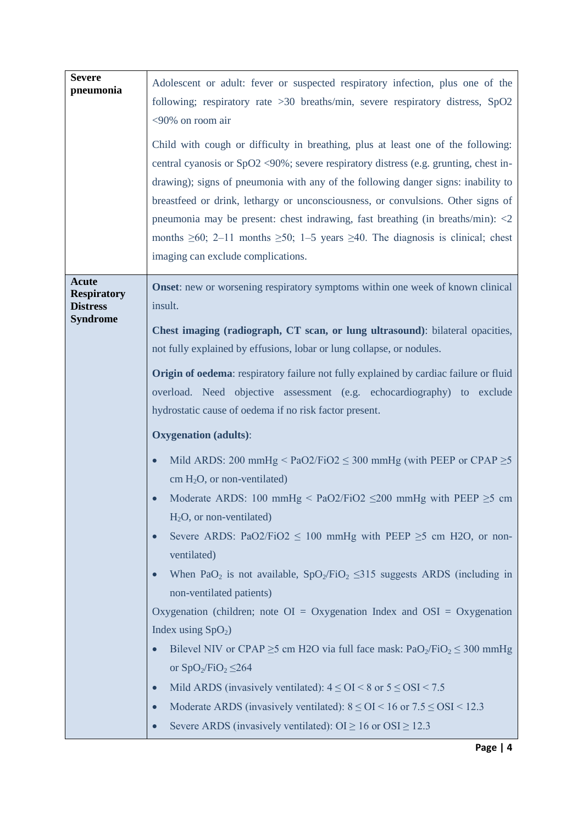| <b>Severe</b><br>pneumonia                                               | Adolescent or adult: fever or suspected respiratory infection, plus one of the<br>following; respiratory rate > 30 breaths/min, severe respiratory distress, SpO2<br><90% on room air<br>Child with cough or difficulty in breathing, plus at least one of the following:<br>central cyanosis or $SpO2 \le 90\%$ ; severe respiratory distress (e.g. grunting, chest in-<br>drawing); signs of pneumonia with any of the following danger signs: inability to<br>breastfeed or drink, lethargy or unconsciousness, or convulsions. Other signs of<br>pneumonia may be present: chest indrawing, fast breathing (in breaths/min): $\langle 2 \rangle$<br>months $\geq 60$ ; 2-11 months $\geq 50$ ; 1-5 years $\geq 40$ . The diagnosis is clinical; chest<br>imaging can exclude complications.                                                                                                                                                                                                                                                                                                                                                                                                                                                                                                                                                                                                                                                                                        |
|--------------------------------------------------------------------------|----------------------------------------------------------------------------------------------------------------------------------------------------------------------------------------------------------------------------------------------------------------------------------------------------------------------------------------------------------------------------------------------------------------------------------------------------------------------------------------------------------------------------------------------------------------------------------------------------------------------------------------------------------------------------------------------------------------------------------------------------------------------------------------------------------------------------------------------------------------------------------------------------------------------------------------------------------------------------------------------------------------------------------------------------------------------------------------------------------------------------------------------------------------------------------------------------------------------------------------------------------------------------------------------------------------------------------------------------------------------------------------------------------------------------------------------------------------------------------------|
| <b>Acute</b><br><b>Respiratory</b><br><b>Distress</b><br><b>Syndrome</b> | <b>Onset:</b> new or worsening respiratory symptoms within one week of known clinical<br>insult.<br>Chest imaging (radiograph, CT scan, or lung ultrasound): bilateral opacities,<br>not fully explained by effusions, lobar or lung collapse, or nodules.<br><b>Origin of oedema:</b> respiratory failure not fully explained by cardiac failure or fluid<br>overload. Need objective assessment (e.g. echocardiography) to exclude<br>hydrostatic cause of oedema if no risk factor present.<br><b>Oxygenation</b> (adults):<br>Mild ARDS: 200 mmHg < $PaO2/FiO2 \leq 300$ mmHg (with PEEP or CPAP $\geq 5$<br>$\bullet$<br>cm $H_2O$ , or non-ventilated)<br>Moderate ARDS: 100 mmHg < PaO2/FiO2 $\leq$ 200 mmHg with PEEP $\geq$ 5 cm<br>$H_2O$ , or non-ventilated)<br>Severe ARDS: PaO2/FiO2 $\leq$ 100 mmHg with PEEP $\geq$ 5 cm H2O, or non-<br>ventilated)<br>When PaO <sub>2</sub> is not available, $SpO_2/FiO_2 \le 315$ suggests ARDS (including in<br>non-ventilated patients)<br>Oxygenation (children; note $OI = Oxygenation$ Index and $OSI = Oxygenation$<br>Index using $SpO2$ )<br>Bilevel NIV or CPAP $\geq$ 5 cm H2O via full face mask: PaO <sub>2</sub> /FiO <sub>2</sub> $\leq$ 300 mmHg<br>or $SpO_2/FiO_2 \leq 264$<br>Mild ARDS (invasively ventilated): $4 \leq OI < 8$ or $5 \leq OSI < 7.5$<br>Moderate ARDS (invasively ventilated): $8 \leq OI < 16$ or $7.5 \leq OSI < 12.3$<br>Severe ARDS (invasively ventilated): $OI \ge 16$ or $OSI \ge 12.3$ |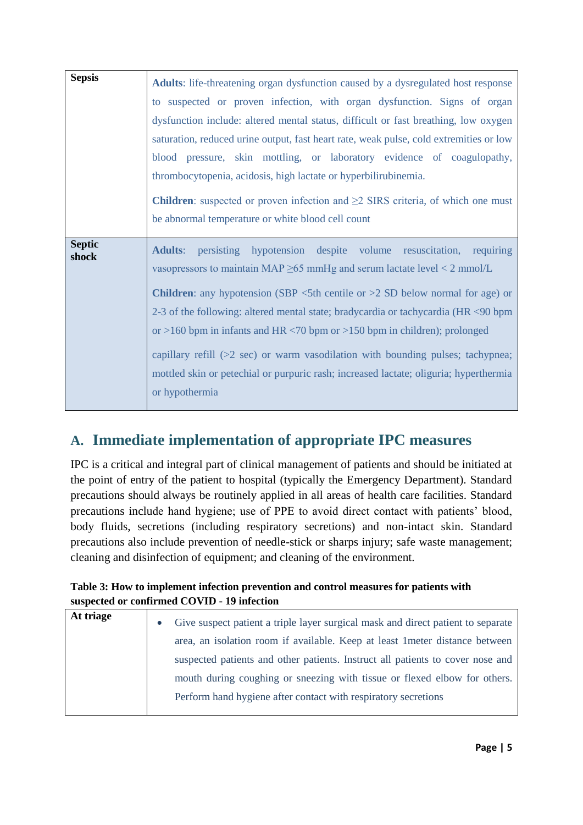| <b>Sepsis</b>          | <b>Adults:</b> life-threatening organ dysfunction caused by a dysregulated host response<br>to suspected or proven infection, with organ dysfunction. Signs of organ<br>dysfunction include: altered mental status, difficult or fast breathing, low oxygen                                                                                                                                                                                                                                                                                                                                                                                                                                |
|------------------------|--------------------------------------------------------------------------------------------------------------------------------------------------------------------------------------------------------------------------------------------------------------------------------------------------------------------------------------------------------------------------------------------------------------------------------------------------------------------------------------------------------------------------------------------------------------------------------------------------------------------------------------------------------------------------------------------|
|                        | saturation, reduced urine output, fast heart rate, weak pulse, cold extremities or low<br>blood pressure, skin mottling, or laboratory evidence of coagulopathy,<br>thrombocytopenia, acidosis, high lactate or hyperbilirubinemia.<br><b>Children</b> : suspected or proven infection and $\geq 2$ SIRS criteria, of which one must<br>be abnormal temperature or white blood cell count                                                                                                                                                                                                                                                                                                  |
| <b>Septic</b><br>shock | persisting hypotension despite volume resuscitation, requiring<br><b>Adults:</b><br>vasopressors to maintain MAP $\geq$ 65 mmHg and serum lactate level < 2 mmol/L<br><b>Children:</b> any hypotension (SBP $\lt$ 5th centile or $>$ 2 SD below normal for age) or<br>2-3 of the following: altered mental state; bradycardia or tachycardia (HR <90 bpm<br>or >160 bpm in infants and HR $\langle 70 \text{ bpm} \text{ or } 150 \text{ bpm} \text{ in } 100 \rangle$ ; prolonged<br>capillary refill $(>2 \text{ sec})$ or warm vasodilation with bounding pulses; tachypnea;<br>mottled skin or petechial or purpuric rash; increased lactate; oliguria; hyperthermia<br>or hypothermia |

# **A. Immediate implementation of appropriate IPC measures**

IPC is a critical and integral part of clinical management of patients and should be initiated at the point of entry of the patient to hospital (typically the Emergency Department). Standard precautions should always be routinely applied in all areas of health care facilities. Standard precautions include hand hygiene; use of PPE to avoid direct contact with patients' blood, body fluids, secretions (including respiratory secretions) and non-intact skin. Standard precautions also include prevention of needle-stick or sharps injury; safe waste management; cleaning and disinfection of equipment; and cleaning of the environment.

#### **Table 3: How to implement infection prevention and control measures for patients with suspected or confirmed COVID - 19 infection**

| At triage | Give suspect patient a triple layer surgical mask and direct patient to separate<br>$\bullet$ |
|-----------|-----------------------------------------------------------------------------------------------|
|           | area, an isolation room if available. Keep at least 1 meter distance between                  |
|           | suspected patients and other patients. Instruct all patients to cover nose and                |
|           | mouth during coughing or sneezing with tissue or flexed elbow for others.                     |
|           | Perform hand hygiene after contact with respiratory secretions                                |
|           |                                                                                               |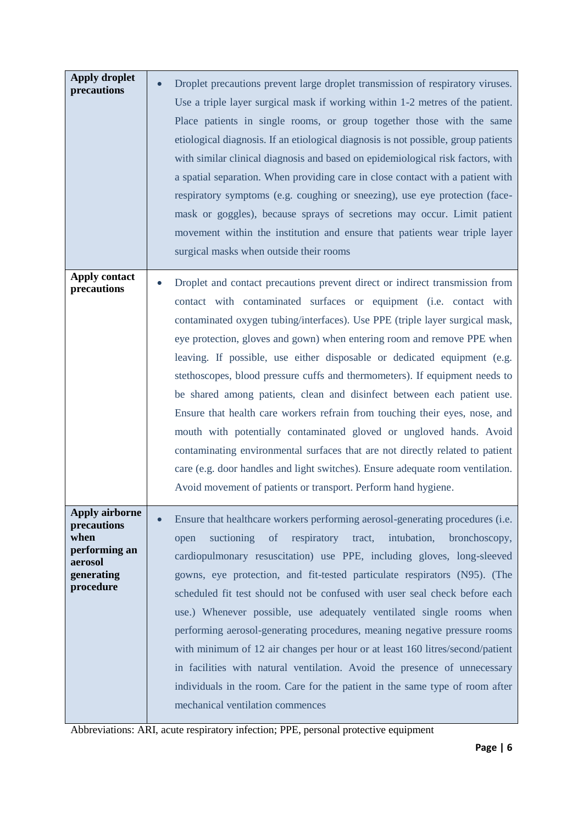| <b>Apply droplet</b><br>precautions                                                                 | Droplet precautions prevent large droplet transmission of respiratory viruses.<br>Use a triple layer surgical mask if working within 1-2 metres of the patient.<br>Place patients in single rooms, or group together those with the same<br>etiological diagnosis. If an etiological diagnosis is not possible, group patients<br>with similar clinical diagnosis and based on epidemiological risk factors, with<br>a spatial separation. When providing care in close contact with a patient with<br>respiratory symptoms (e.g. coughing or sneezing), use eye protection (face-<br>mask or goggles), because sprays of secretions may occur. Limit patient<br>movement within the institution and ensure that patients wear triple layer<br>surgical masks when outside their rooms                                                                                                                                                         |
|-----------------------------------------------------------------------------------------------------|------------------------------------------------------------------------------------------------------------------------------------------------------------------------------------------------------------------------------------------------------------------------------------------------------------------------------------------------------------------------------------------------------------------------------------------------------------------------------------------------------------------------------------------------------------------------------------------------------------------------------------------------------------------------------------------------------------------------------------------------------------------------------------------------------------------------------------------------------------------------------------------------------------------------------------------------|
| <b>Apply contact</b><br>precautions                                                                 | Droplet and contact precautions prevent direct or indirect transmission from<br>contact with contaminated surfaces or equipment (i.e. contact with<br>contaminated oxygen tubing/interfaces). Use PPE (triple layer surgical mask,<br>eye protection, gloves and gown) when entering room and remove PPE when<br>leaving. If possible, use either disposable or dedicated equipment (e.g.<br>stethoscopes, blood pressure cuffs and thermometers). If equipment needs to<br>be shared among patients, clean and disinfect between each patient use.<br>Ensure that health care workers refrain from touching their eyes, nose, and<br>mouth with potentially contaminated gloved or ungloved hands. Avoid<br>contaminating environmental surfaces that are not directly related to patient<br>care (e.g. door handles and light switches). Ensure adequate room ventilation.<br>Avoid movement of patients or transport. Perform hand hygiene. |
| <b>Apply airborne</b><br>precautions<br>when<br>performing an<br>aerosol<br>generating<br>procedure | Ensure that healthcare workers performing aerosol-generating procedures (i.e.<br>respiratory<br>intubation,<br>suctioning<br>of<br>tract,<br>bronchoscopy,<br>open<br>cardiopulmonary resuscitation) use PPE, including gloves, long-sleeved<br>gowns, eye protection, and fit-tested particulate respirators (N95). (The<br>scheduled fit test should not be confused with user seal check before each<br>use.) Whenever possible, use adequately ventilated single rooms when<br>performing aerosol-generating procedures, meaning negative pressure rooms<br>with minimum of 12 air changes per hour or at least 160 litres/second/patient<br>in facilities with natural ventilation. Avoid the presence of unnecessary<br>individuals in the room. Care for the patient in the same type of room after<br>mechanical ventilation commences                                                                                                 |

Abbreviations: ARI, acute respiratory infection; PPE, personal protective equipment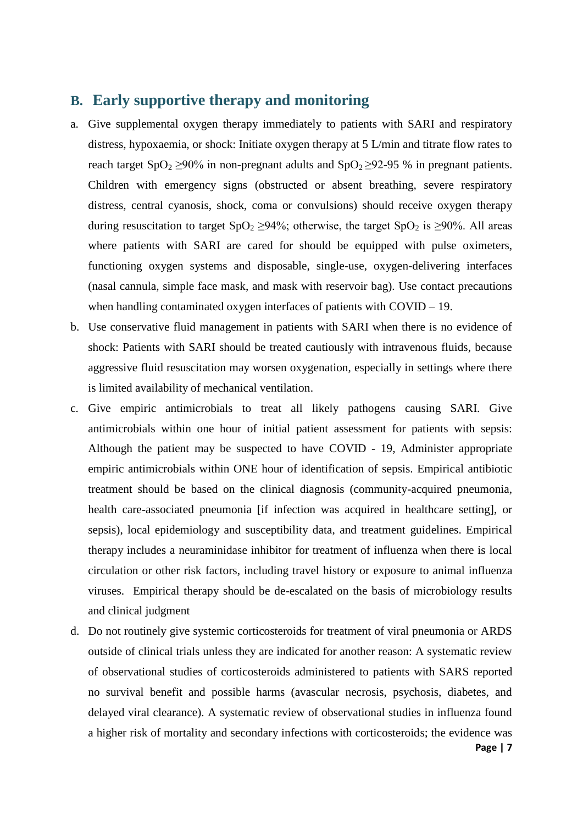## **B. Early supportive therapy and monitoring**

- a. Give supplemental oxygen therapy immediately to patients with SARI and respiratory distress, hypoxaemia, or shock: Initiate oxygen therapy at 5 L/min and titrate flow rates to reach target SpO<sub>2</sub> ≥90% in non-pregnant adults and SpO<sub>2</sub> ≥92-95 % in pregnant patients. Children with emergency signs (obstructed or absent breathing, severe respiratory distress, central cyanosis, shock, coma or convulsions) should receive oxygen therapy during resuscitation to target  $SpO<sub>2</sub> \ge 94\%$ ; otherwise, the target  $SpO<sub>2</sub>$  is  $\ge 90\%$ . All areas where patients with SARI are cared for should be equipped with pulse oximeters, functioning oxygen systems and disposable, single-use, oxygen-delivering interfaces (nasal cannula, simple face mask, and mask with reservoir bag). Use contact precautions when handling contaminated oxygen interfaces of patients with COVID – 19.
- b. Use conservative fluid management in patients with SARI when there is no evidence of shock: Patients with SARI should be treated cautiously with intravenous fluids, because aggressive fluid resuscitation may worsen oxygenation, especially in settings where there is limited availability of mechanical ventilation.
- c. Give empiric antimicrobials to treat all likely pathogens causing SARI. Give antimicrobials within one hour of initial patient assessment for patients with sepsis: Although the patient may be suspected to have COVID - 19, Administer appropriate empiric antimicrobials within ONE hour of identification of sepsis. Empirical antibiotic treatment should be based on the clinical diagnosis (community-acquired pneumonia, health care-associated pneumonia [if infection was acquired in healthcare setting], or sepsis), local epidemiology and susceptibility data, and treatment guidelines. Empirical therapy includes a neuraminidase inhibitor for treatment of influenza when there is local circulation or other risk factors, including travel history or exposure to animal influenza viruses. Empirical therapy should be de-escalated on the basis of microbiology results and clinical judgment
- d. Do not routinely give systemic corticosteroids for treatment of viral pneumonia or ARDS outside of clinical trials unless they are indicated for another reason: A systematic review of observational studies of corticosteroids administered to patients with SARS reported no survival benefit and possible harms (avascular necrosis, psychosis, diabetes, and delayed viral clearance). A systematic review of observational studies in influenza found a higher risk of mortality and secondary infections with corticosteroids; the evidence was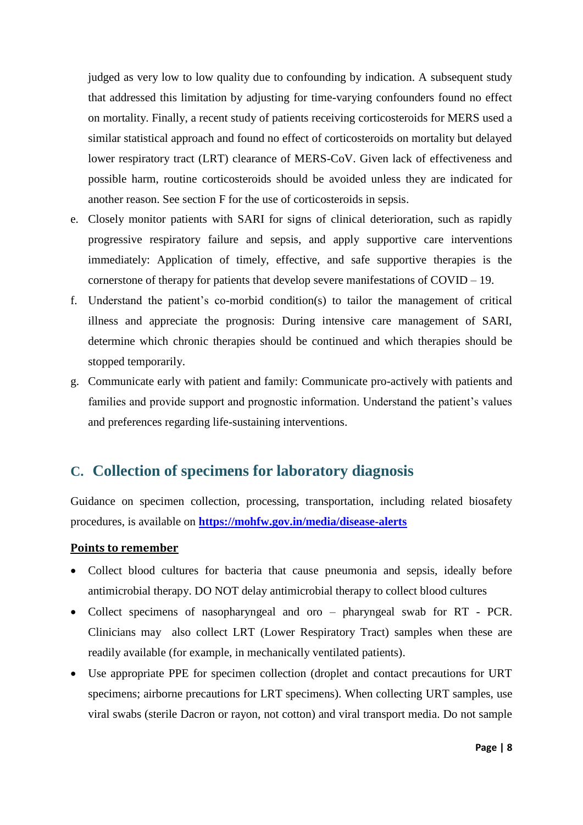judged as very low to low quality due to confounding by indication. A subsequent study that addressed this limitation by adjusting for time-varying confounders found no effect on mortality. Finally, a recent study of patients receiving corticosteroids for MERS used a similar statistical approach and found no effect of corticosteroids on mortality but delayed lower respiratory tract (LRT) clearance of MERS-CoV. Given lack of effectiveness and possible harm, routine corticosteroids should be avoided unless they are indicated for another reason. See section F for the use of corticosteroids in sepsis.

- e. Closely monitor patients with SARI for signs of clinical deterioration, such as rapidly progressive respiratory failure and sepsis, and apply supportive care interventions immediately: Application of timely, effective, and safe supportive therapies is the cornerstone of therapy for patients that develop severe manifestations of COVID – 19.
- f. Understand the patient's co-morbid condition(s) to tailor the management of critical illness and appreciate the prognosis: During intensive care management of SARI, determine which chronic therapies should be continued and which therapies should be stopped temporarily.
- g. Communicate early with patient and family: Communicate pro-actively with patients and families and provide support and prognostic information. Understand the patient's values and preferences regarding life-sustaining interventions.

### **C. Collection of specimens for laboratory diagnosis**

Guidance on specimen collection, processing, transportation, including related biosafety procedures, is available on **<https://mohfw.gov.in/media/disease-alerts>**

#### **Points to remember**

- Collect blood cultures for bacteria that cause pneumonia and sepsis, ideally before antimicrobial therapy. DO NOT delay antimicrobial therapy to collect blood cultures
- Collect specimens of nasopharyngeal and oro pharyngeal swab for RT PCR. Clinicians may also collect LRT (Lower Respiratory Tract) samples when these are readily available (for example, in mechanically ventilated patients).
- Use appropriate PPE for specimen collection (droplet and contact precautions for URT specimens; airborne precautions for LRT specimens). When collecting URT samples, use viral swabs (sterile Dacron or rayon, not cotton) and viral transport media. Do not sample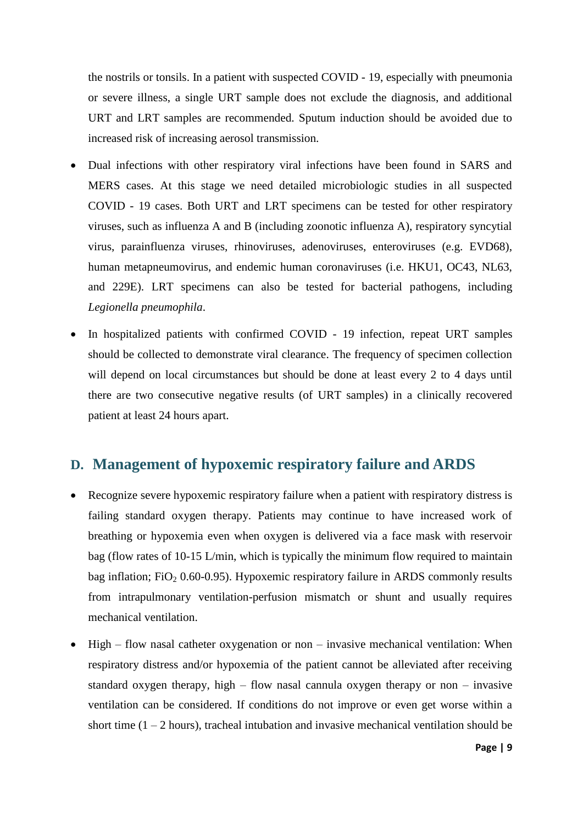the nostrils or tonsils. In a patient with suspected COVID - 19, especially with pneumonia or severe illness, a single URT sample does not exclude the diagnosis, and additional URT and LRT samples are recommended. Sputum induction should be avoided due to increased risk of increasing aerosol transmission.

- Dual infections with other respiratory viral infections have been found in SARS and MERS cases. At this stage we need detailed microbiologic studies in all suspected COVID - 19 cases. Both URT and LRT specimens can be tested for other respiratory viruses, such as influenza A and B (including zoonotic influenza A), respiratory syncytial virus, parainfluenza viruses, rhinoviruses, adenoviruses, enteroviruses (e.g. EVD68), human metapneumovirus, and endemic human coronaviruses (i.e. HKU1, OC43, NL63, and 229E). LRT specimens can also be tested for bacterial pathogens, including *Legionella pneumophila*.
- In hospitalized patients with confirmed COVID 19 infection, repeat URT samples should be collected to demonstrate viral clearance. The frequency of specimen collection will depend on local circumstances but should be done at least every 2 to 4 days until there are two consecutive negative results (of URT samples) in a clinically recovered patient at least 24 hours apart.

## **D. Management of hypoxemic respiratory failure and ARDS**

- Recognize severe hypoxemic respiratory failure when a patient with respiratory distress is failing standard oxygen therapy. Patients may continue to have increased work of breathing or hypoxemia even when oxygen is delivered via a face mask with reservoir bag (flow rates of 10-15 L/min, which is typically the minimum flow required to maintain bag inflation; FiO<sub>2</sub> 0.60-0.95). Hypoxemic respiratory failure in ARDS commonly results from intrapulmonary ventilation-perfusion mismatch or shunt and usually requires mechanical ventilation.
- High flow nasal catheter oxygenation or non invasive mechanical ventilation: When respiratory distress and/or hypoxemia of the patient cannot be alleviated after receiving standard oxygen therapy, high – flow nasal cannula oxygen therapy or non – invasive ventilation can be considered. If conditions do not improve or even get worse within a short time  $(1 - 2$  hours), tracheal intubation and invasive mechanical ventilation should be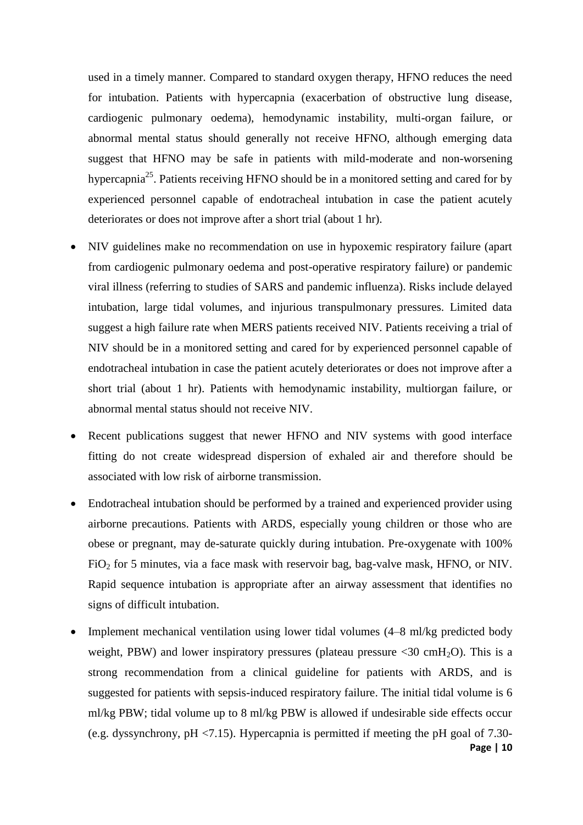used in a timely manner. Compared to standard oxygen therapy, HFNO reduces the need for intubation. Patients with hypercapnia (exacerbation of obstructive lung disease, cardiogenic pulmonary oedema), hemodynamic instability, multi-organ failure, or abnormal mental status should generally not receive HFNO, although emerging data suggest that HFNO may be safe in patients with mild-moderate and non-worsening hypercapnia<sup>25</sup>. Patients receiving HFNO should be in a monitored setting and cared for by experienced personnel capable of endotracheal intubation in case the patient acutely deteriorates or does not improve after a short trial (about 1 hr).

- NIV guidelines make no recommendation on use in hypoxemic respiratory failure (apart from cardiogenic pulmonary oedema and post-operative respiratory failure) or pandemic viral illness (referring to studies of SARS and pandemic influenza). Risks include delayed intubation, large tidal volumes, and injurious transpulmonary pressures. Limited data suggest a high failure rate when MERS patients received NIV. Patients receiving a trial of NIV should be in a monitored setting and cared for by experienced personnel capable of endotracheal intubation in case the patient acutely deteriorates or does not improve after a short trial (about 1 hr). Patients with hemodynamic instability, multiorgan failure, or abnormal mental status should not receive NIV.
- Recent publications suggest that newer HFNO and NIV systems with good interface fitting do not create widespread dispersion of exhaled air and therefore should be associated with low risk of airborne transmission.
- Endotracheal intubation should be performed by a trained and experienced provider using airborne precautions. Patients with ARDS, especially young children or those who are obese or pregnant, may de-saturate quickly during intubation. Pre-oxygenate with 100%  $FiO<sub>2</sub>$  for 5 minutes, via a face mask with reservoir bag, bag-valve mask, HFNO, or NIV. Rapid sequence intubation is appropriate after an airway assessment that identifies no signs of difficult intubation.
- **Page | 10** Implement mechanical ventilation using lower tidal volumes (4–8 ml/kg predicted body weight, PBW) and lower inspiratory pressures (plateau pressure  $\langle 30 \text{ cm} H_2O \rangle$ ). This is a strong recommendation from a clinical guideline for patients with ARDS, and is suggested for patients with sepsis-induced respiratory failure. The initial tidal volume is 6 ml/kg PBW; tidal volume up to 8 ml/kg PBW is allowed if undesirable side effects occur (e.g. dyssynchrony,  $pH \le 7.15$ ). Hypercapnia is permitted if meeting the pH goal of 7.30-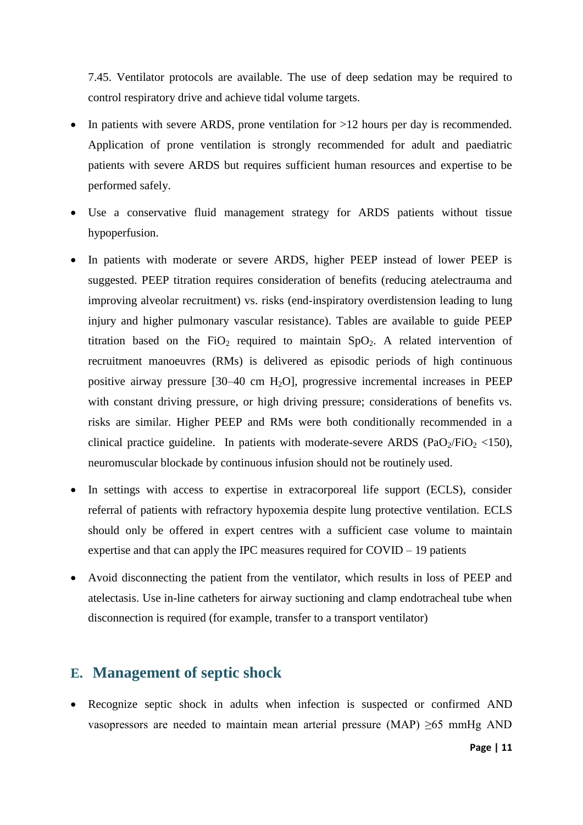7.45. Ventilator protocols are available. The use of deep sedation may be required to control respiratory drive and achieve tidal volume targets.

- In patients with severe ARDS, prone ventilation for >12 hours per day is recommended. Application of prone ventilation is strongly recommended for adult and paediatric patients with severe ARDS but requires sufficient human resources and expertise to be performed safely.
- Use a conservative fluid management strategy for ARDS patients without tissue hypoperfusion.
- In patients with moderate or severe ARDS, higher PEEP instead of lower PEEP is suggested. PEEP titration requires consideration of benefits (reducing atelectrauma and improving alveolar recruitment) vs. risks (end-inspiratory overdistension leading to lung injury and higher pulmonary vascular resistance). Tables are available to guide PEEP titration based on the FiO<sub>2</sub> required to maintain  $SpO<sub>2</sub>$ . A related intervention of recruitment manoeuvres (RMs) is delivered as episodic periods of high continuous positive airway pressure  $[30-40 \text{ cm } H_2O]$ , progressive incremental increases in PEEP with constant driving pressure, or high driving pressure; considerations of benefits vs. risks are similar. Higher PEEP and RMs were both conditionally recommended in a clinical practice guideline. In patients with moderate-severe ARDS (PaO<sub>2</sub>/FiO<sub>2</sub> <150), neuromuscular blockade by continuous infusion should not be routinely used.
- In settings with access to expertise in extracorporeal life support (ECLS), consider referral of patients with refractory hypoxemia despite lung protective ventilation. ECLS should only be offered in expert centres with a sufficient case volume to maintain expertise and that can apply the IPC measures required for COVID – 19 patients
- Avoid disconnecting the patient from the ventilator, which results in loss of PEEP and atelectasis. Use in-line catheters for airway suctioning and clamp endotracheal tube when disconnection is required (for example, transfer to a transport ventilator)

#### **E. Management of septic shock**

• Recognize septic shock in adults when infection is suspected or confirmed AND vasopressors are needed to maintain mean arterial pressure (MAP)  $\geq 65$  mmHg AND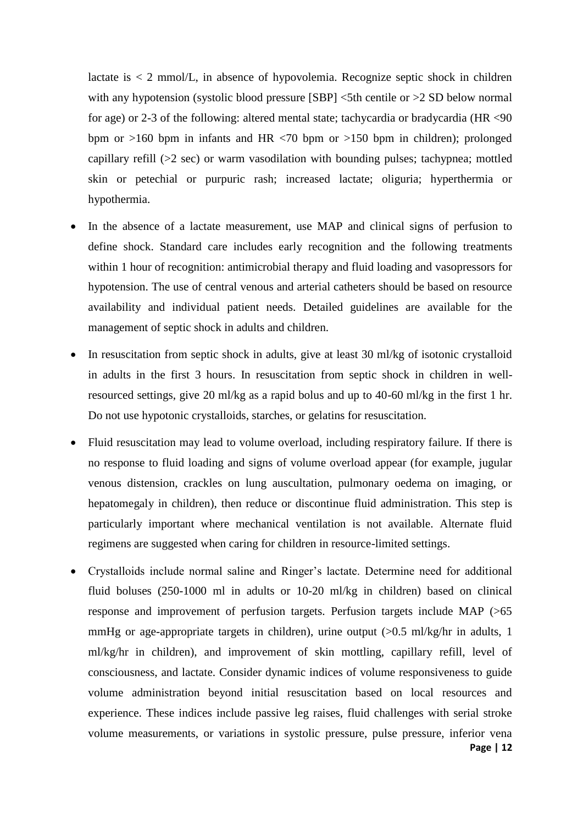lactate is  $\lt 2$  mmol/L, in absence of hypovolemia. Recognize septic shock in children with any hypotension (systolic blood pressure  $[SBP]$  <5th centile or >2 SD below normal for age) or 2-3 of the following: altered mental state; tachycardia or bradycardia (HR <90 bpm or  $>160$  bpm in infants and HR  $< 70$  bpm or  $>150$  bpm in children); prolonged capillary refill (>2 sec) or warm vasodilation with bounding pulses; tachypnea; mottled skin or petechial or purpuric rash; increased lactate; oliguria; hyperthermia or hypothermia.

- In the absence of a lactate measurement, use MAP and clinical signs of perfusion to define shock. Standard care includes early recognition and the following treatments within 1 hour of recognition: antimicrobial therapy and fluid loading and vasopressors for hypotension. The use of central venous and arterial catheters should be based on resource availability and individual patient needs. Detailed guidelines are available for the management of septic shock in adults and children.
- In resuscitation from septic shock in adults, give at least 30 ml/kg of isotonic crystalloid in adults in the first 3 hours. In resuscitation from septic shock in children in wellresourced settings, give 20 ml/kg as a rapid bolus and up to 40-60 ml/kg in the first 1 hr. Do not use hypotonic crystalloids, starches, or gelatins for resuscitation.
- Fluid resuscitation may lead to volume overload, including respiratory failure. If there is no response to fluid loading and signs of volume overload appear (for example, jugular venous distension, crackles on lung auscultation, pulmonary oedema on imaging, or hepatomegaly in children), then reduce or discontinue fluid administration. This step is particularly important where mechanical ventilation is not available. Alternate fluid regimens are suggested when caring for children in resource-limited settings.
- **Page | 12** Crystalloids include normal saline and Ringer's lactate. Determine need for additional fluid boluses (250-1000 ml in adults or 10-20 ml/kg in children) based on clinical response and improvement of perfusion targets. Perfusion targets include MAP (>65 mmHg or age-appropriate targets in children), urine output  $(0.5 \text{ ml/kg/hr}$  in adults, 1 ml/kg/hr in children), and improvement of skin mottling, capillary refill, level of consciousness, and lactate. Consider dynamic indices of volume responsiveness to guide volume administration beyond initial resuscitation based on local resources and experience. These indices include passive leg raises, fluid challenges with serial stroke volume measurements, or variations in systolic pressure, pulse pressure, inferior vena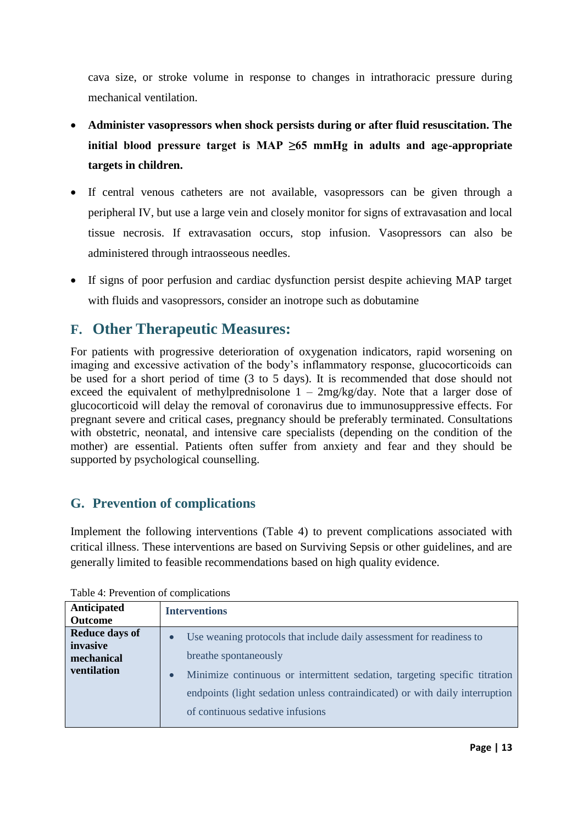cava size, or stroke volume in response to changes in intrathoracic pressure during mechanical ventilation.

- **Administer vasopressors when shock persists during or after fluid resuscitation. The initial blood pressure target is MAP ≥65 mmHg in adults and age-appropriate targets in children.**
- If central venous catheters are not available, vasopressors can be given through a peripheral IV, but use a large vein and closely monitor for signs of extravasation and local tissue necrosis. If extravasation occurs, stop infusion. Vasopressors can also be administered through intraosseous needles.
- If signs of poor perfusion and cardiac dysfunction persist despite achieving MAP target with fluids and vasopressors, consider an inotrope such as dobutamine

## **F. Other Therapeutic Measures:**

For patients with progressive deterioration of oxygenation indicators, rapid worsening on imaging and excessive activation of the body's inflammatory response, glucocorticoids can be used for a short period of time (3 to 5 days). It is recommended that dose should not exceed the equivalent of methylprednisolone  $1 - 2mg/kg/day$ . Note that a larger dose of glucocorticoid will delay the removal of coronavirus due to immunosuppressive effects. For pregnant severe and critical cases, pregnancy should be preferably terminated. Consultations with obstetric, neonatal, and intensive care specialists (depending on the condition of the mother) are essential. Patients often suffer from anxiety and fear and they should be supported by psychological counselling.

### **G. Prevention of complications**

Implement the following interventions (Table 4) to prevent complications associated with critical illness. These interventions are based on Surviving Sepsis or other guidelines, and are generally limited to feasible recommendations based on high quality evidence.

| Anticipated<br><b>Outcome</b>                                         | <b>Interventions</b>                                                                                                                                                                                                                                                                                                      |
|-----------------------------------------------------------------------|---------------------------------------------------------------------------------------------------------------------------------------------------------------------------------------------------------------------------------------------------------------------------------------------------------------------------|
| <b>Reduce days of</b><br>invasive<br>mechanical<br><b>ventilation</b> | Use weaning protocols that include daily assessment for readiness to<br>$\bullet$<br>breathe spontaneously<br>Minimize continuous or intermittent sedation, targeting specific titration<br>$\bullet$<br>endpoints (light sedation unless contraindicated) or with daily interruption<br>of continuous sedative infusions |

Table 4: Prevention of complications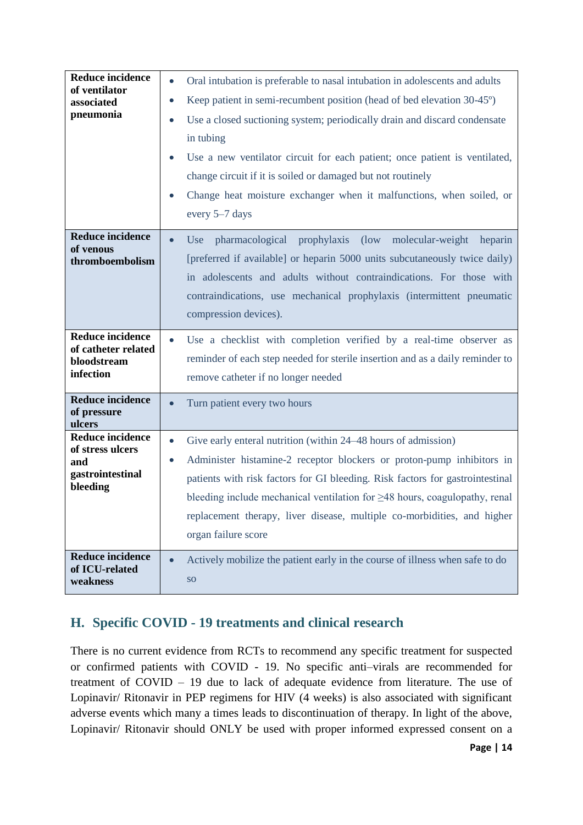| <b>Reduce incidence</b><br>of ventilator<br>associated<br>pneumonia                | Oral intubation is preferable to nasal intubation in adolescents and adults<br>$\bullet$<br>Keep patient in semi-recumbent position (head of bed elevation 30-45°)<br>$\bullet$<br>Use a closed suctioning system; periodically drain and discard condensate<br>$\bullet$<br>in tubing<br>Use a new ventilator circuit for each patient; once patient is ventilated,<br>change circuit if it is soiled or damaged but not routinely<br>Change heat moisture exchanger when it malfunctions, when soiled, or<br>every 5–7 days |
|------------------------------------------------------------------------------------|-------------------------------------------------------------------------------------------------------------------------------------------------------------------------------------------------------------------------------------------------------------------------------------------------------------------------------------------------------------------------------------------------------------------------------------------------------------------------------------------------------------------------------|
| <b>Reduce incidence</b><br>of venous<br>thromboembolism                            | prophylaxis (low molecular-weight heparin<br>pharmacological<br>Use<br>$\bullet$<br>[preferred if available] or heparin 5000 units subcutaneously twice daily)<br>in adolescents and adults without contraindications. For those with<br>contraindications, use mechanical prophylaxis (intermittent pneumatic<br>compression devices).                                                                                                                                                                                       |
| <b>Reduce incidence</b><br>of catheter related<br>bloodstream<br>infection         | Use a checklist with completion verified by a real-time observer as<br>$\bullet$<br>reminder of each step needed for sterile insertion and as a daily reminder to<br>remove catheter if no longer needed                                                                                                                                                                                                                                                                                                                      |
| <b>Reduce incidence</b><br>of pressure<br>ulcers                                   | Turn patient every two hours<br>$\bullet$                                                                                                                                                                                                                                                                                                                                                                                                                                                                                     |
| <b>Reduce incidence</b><br>of stress ulcers<br>and<br>gastrointestinal<br>bleeding | Give early enteral nutrition (within 24–48 hours of admission)<br>$\bullet$<br>Administer histamine-2 receptor blockers or proton-pump inhibitors in<br>$\bullet$<br>patients with risk factors for GI bleeding. Risk factors for gastrointestinal<br>bleeding include mechanical ventilation for $\geq$ 48 hours, coagulopathy, renal<br>replacement therapy, liver disease, multiple co-morbidities, and higher<br>organ failure score                                                                                      |
| <b>Reduce incidence</b><br>of ICU-related<br>weakness                              | Actively mobilize the patient early in the course of illness when safe to do<br>$\bullet$<br><b>SO</b>                                                                                                                                                                                                                                                                                                                                                                                                                        |

## **H. Specific COVID - 19 treatments and clinical research**

There is no current evidence from RCTs to recommend any specific treatment for suspected or confirmed patients with COVID - 19. No specific anti–virals are recommended for treatment of COVID – 19 due to lack of adequate evidence from literature. The use of Lopinavir/ Ritonavir in PEP regimens for HIV (4 weeks) is also associated with significant adverse events which many a times leads to discontinuation of therapy. In light of the above, Lopinavir/ Ritonavir should ONLY be used with proper informed expressed consent on a